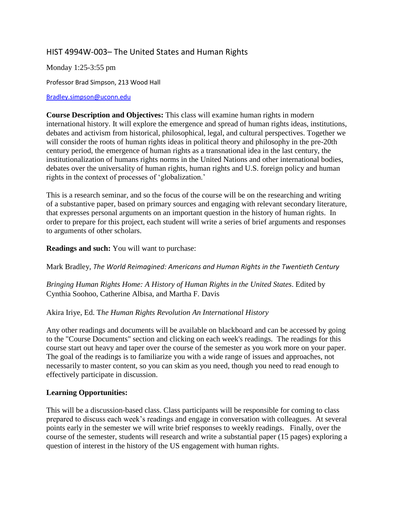# HIST 4994W-003– The United States and Human Rights

Monday 1:25-3:55 pm

Professor Brad Simpson, 213 Wood Hall

#### [Bradley.simpson@uconn.edu](mailto:Bradley.simpson@uconn.edu)

**Course Description and Objectives:** This class will examine human rights in modern international history. It will explore the emergence and spread of human rights ideas, institutions, debates and activism from historical, philosophical, legal, and cultural perspectives. Together we will consider the roots of human rights ideas in political theory and philosophy in the pre-20th century period, the emergence of human rights as a transnational idea in the last century, the institutionalization of humans rights norms in the United Nations and other international bodies, debates over the universality of human rights, human rights and U.S. foreign policy and human rights in the context of processes of 'globalization.'

This is a research seminar, and so the focus of the course will be on the researching and writing of a substantive paper, based on primary sources and engaging with relevant secondary literature, that expresses personal arguments on an important question in the history of human rights. In order to prepare for this project, each student will write a series of brief arguments and responses to arguments of other scholars.

**Readings and such:** You will want to purchase:

Mark Bradley, *The World Reimagined: Americans and Human Rights in the Twentieth Century*

*Bringing Human Rights Home: A History of Human Rights in the United States*. Edited by Cynthia Soohoo, Catherine Albisa, and Martha F. Davis

#### Akira Iriye, Ed. T*he Human Rights Revolution An International History*

Any other readings and documents will be available on blackboard and can be accessed by going to the "Course Documents" section and clicking on each week's readings. The readings for this course start out heavy and taper over the course of the semester as you work more on your paper. The goal of the readings is to familiarize you with a wide range of issues and approaches, not necessarily to master content, so you can skim as you need, though you need to read enough to effectively participate in discussion.

#### **Learning Opportunities:**

This will be a discussion-based class. Class participants will be responsible for coming to class prepared to discuss each week's readings and engage in conversation with colleagues. At several points early in the semester we will write brief responses to weekly readings. Finally, over the course of the semester, students will research and write a substantial paper (15 pages) exploring a question of interest in the history of the US engagement with human rights.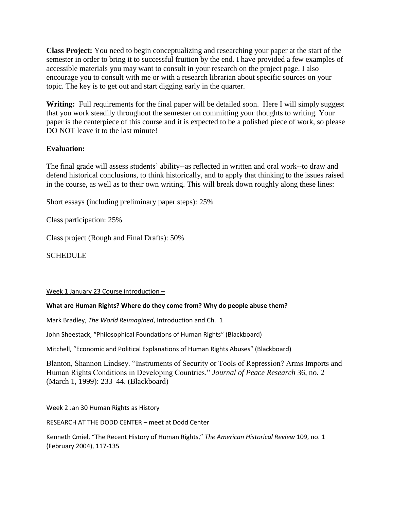**Class Project:** You need to begin conceptualizing and researching your paper at the start of the semester in order to bring it to successful fruition by the end. I have provided a few examples of accessible materials you may want to consult in your research on the project page. I also encourage you to consult with me or with a research librarian about specific sources on your topic. The key is to get out and start digging early in the quarter.

Writing: Full requirements for the final paper will be detailed soon. Here I will simply suggest that you work steadily throughout the semester on committing your thoughts to writing. Your paper is the centerpiece of this course and it is expected to be a polished piece of work, so please DO NOT leave it to the last minute!

## **Evaluation:**

The final grade will assess students' ability--as reflected in written and oral work--to draw and defend historical conclusions, to think historically, and to apply that thinking to the issues raised in the course, as well as to their own writing. This will break down roughly along these lines:

Short essays (including preliminary paper steps): 25%

Class participation: 25%

Class project (Rough and Final Drafts): 50%

**SCHEDULE** 

#### Week 1 January 23 Course introduction –

#### **What are Human Rights? Where do they come from? Why do people abuse them?**

Mark Bradley, *The World Reimagined*, Introduction and Ch. 1

John Sheestack, "Philosophical Foundations of Human Rights" (Blackboard)

Mitchell, "Economic and Political Explanations of Human Rights Abuses" (Blackboard)

Blanton, Shannon Lindsey. "Instruments of Security or Tools of Repression? Arms Imports and Human Rights Conditions in Developing Countries." *Journal of Peace Research* 36, no. 2 (March 1, 1999): 233–44. (Blackboard)

#### Week 2 Jan 30 Human Rights as History

RESEARCH AT THE DODD CENTER – meet at Dodd Center

Kenneth Cmiel, "The Recent History of Human Rights," *The American Historical Review* 109, no. 1 (February 2004), 117-135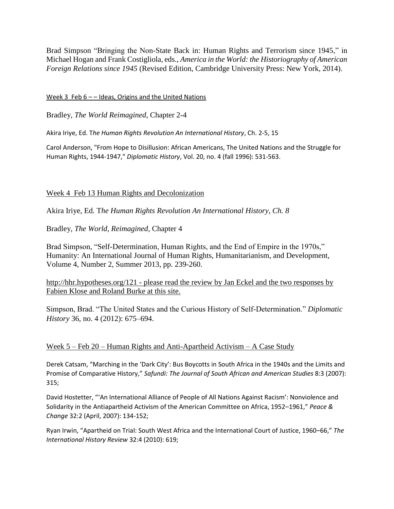Brad Simpson "Bringing the Non-State Back in: Human Rights and Terrorism since 1945," in Michael Hogan and Frank Costigliola, eds., *America in the World: the Historiography of American Foreign Relations since 1945* (Revised Edition, Cambridge University Press: New York, 2014).

### Week 3 Feb  $6$  – – Ideas, Origins and the United Nations

Bradley, *The World Reimagined*, Chapter 2-4

Akira Iriye, Ed. T*he Human Rights Revolution An International History*, Ch. 2-5, 15

Carol Anderson, "From Hope to Disillusion: African Americans, The United Nations and the Struggle for Human Rights, 1944-1947," *Diplomatic History*, Vol. 20, no. 4 (fall 1996): 531-563.

## Week 4 Feb 13 Human Rights and Decolonization

Akira Iriye, Ed. T*he Human Rights Revolution An International History, Ch. 8*

Bradley, *The World, Reimagined,* Chapter 4

Brad Simpson, ["Self-Determination, Human Rights, and the End of Empire in the 1970s,"](https://www.academia.edu/5430523/Self-Determination_Human_Rights_and_the_End_of_Empire_in_the_1970s_Humanity_An_International_Journal_of_Human_Rights_Humanitarianism_and_Development_Volume_4_Number_2_Summer_2013_pp._239-260)  [Humanity: An International Journal of Human Rights, Humanitarianism, and Development,](https://www.academia.edu/5430523/Self-Determination_Human_Rights_and_the_End_of_Empire_in_the_1970s_Humanity_An_International_Journal_of_Human_Rights_Humanitarianism_and_Development_Volume_4_Number_2_Summer_2013_pp._239-260)  [Volume 4, Number 2, Summer 2013, pp. 239-260.](https://www.academia.edu/5430523/Self-Determination_Human_Rights_and_the_End_of_Empire_in_the_1970s_Humanity_An_International_Journal_of_Human_Rights_Humanitarianism_and_Development_Volume_4_Number_2_Summer_2013_pp._239-260)

<http://hhr.hypotheses.org/121> - please read the review by Jan Eckel and the two responses by Fabien Klose and Roland Burke at this site.

Simpson, Brad. "The United States and the Curious History of Self-Determination." *Diplomatic History* 36, no. 4 (2012): 675–694.

#### Week 5 – Feb 20 – Human Rights and Anti-Apartheid Activism – A Case Study

Derek Catsam, "Marching in the 'Dark City': Bus Boycotts in South Africa in the 1940s and the Limits and Promise of Comparative History," *Safundi: The Journal of South African and American Studies* 8:3 (2007): 315;

David Hostetter, "'An International Alliance of People of All Nations Against Racism': Nonviolence and Solidarity in the Antiapartheid Activism of the American Committee on Africa, 1952–1961," *Peace & Change* 32:2 (April, 2007): 134-152;

Ryan Irwin, "Apartheid on Trial: South West Africa and the International Court of Justice, 1960–66," *The International History Review* 32:4 (2010): 619;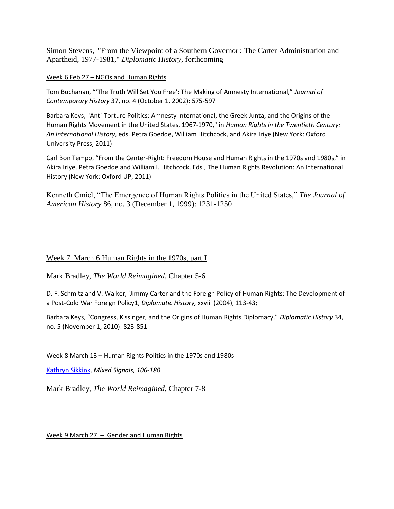Simon Stevens, "'From the Viewpoint of a Southern Governor': The Carter Administration and Apartheid, 1977-1981," *Diplomatic History*, forthcoming

Week 6 Feb 27 – NGOs and Human Rights

Tom Buchanan, "'The Truth Will Set You Free': The Making of Amnesty International," *Journal of Contemporary History* 37, no. 4 (October 1, 2002): 575-597

Barbara Keys, "Anti-Torture Politics: Amnesty International, the Greek Junta, and the Origins of the Human Rights Movement in the United States, 1967-1970," in *Human Rights in the Twentieth Century: An International History*, eds. Petra Goedde, William Hitchcock, and Akira Iriye (New York: Oxford University Press, 2011)

Carl Bon Tempo, "From the Center-Right: Freedom House and Human Rights in the 1970s and 1980s," in Akira Iriye, Petra Goedde and William I. Hitchcock, Eds., The Human Rights Revolution: An International History (New York: Oxford UP, 2011)

Kenneth Cmiel, "The Emergence of Human Rights Politics in the United States," *The Journal of American History* 86, no. 3 (December 1, 1999): 1231-1250

## Week 7 March 6 Human Rights in the 1970s, part I

Mark Bradley, *The World Reimagined*, Chapter 5-6

D. F. Schmitz and V. Walker, 'Jimmy Carter and the Foreign Policy of Human Rights: The Development of a Post-Cold War Foreign Policy1, *Diplomatic History,* xxviii (2004), 113-43;

Barbara Keys, "Congress, Kissinger, and the Origins of Human Rights Diplomacy," *Diplomatic History* 34, no. 5 (November 1, 2010): 823-851

Week 8 March 13 – Human Rights Politics in the 1970s and 1980s

[Kathryn Sikkink,](http://www.amazon.com/exec/obidos/search-handle-url/index=books&field-author=Kathryn%20Sikkink/103-6953712-7231008) *Mixed Signals, 106-180*

Mark Bradley, *The World Reimagined*, Chapter 7-8

Week 9 March 27 – Gender and Human Rights